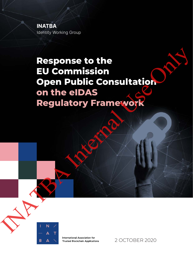**INATBA** Identity Working Group

# **Response to the EU Commission Open Public Consultation on the eIDAS Regulatory Framework** Response to the<br>EU Commission<br>Open Public Consultation<br>Regulatory Framework<br>Regulatory Framework



International Association for **Trusted Blockchain Applications** 

2 OCTOBER 2020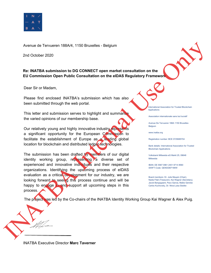

Avenue de Tervueren 188A/4, 1150 Bruxelles - Belgium

2nd October 2020

**Re: INATBA submission to DG CONNECT open market consultation on the EU Commission Open Public Consultation on the eIDAS Regulatory Framework**

Dear Sir or Madam,

Please find enclosed INATBA's submission which has also been submitted through the web portal.

This letter and submission serves to highlight and summaris the varied opinions of our membership base.

Our relatively young and highly innovative industry represents a significant opportunity for the European Commission to facilitate the establishment of Europe as a leading global location for blockchain and distributed ledger technologies. Internal Use of the Consumer property and the time of the Consumer Consumer Consumer Consumer Consumer Consumer Consumer Consumer Consumer Consumer Consumer Consumer Consumer Consumer Consumer Consumer Property Consumer Co

The submission has been drafted by members of our digital identity working group, representing a diverse set of experienced and innovative individuals and their respective organizations. Identifying the upcoming process of eIDAS evaluation as a critical development for our industry, we are looking forward to seeing this process continue and will be happy to engage in and support all upcoming steps in this process. experienced and innovative individual<br>organizations. Identifying the updevaluation as a critical development<br>looking forward to seeing this process.<br>process.<br>The project was led by the Co-chairs

International Association for Trusted Blockchain Applications

Association internationale sans but lucratif

Avenue De Tervueren 188A 1150 Bruxelles **Belgium** 

www.inatba.org

Registration number: BCE 0725685704

Bank details: International Association for Trusted Blockchain Applications

Volksbank Mittweida eG Markt 25, 09648 Mittweida

IBAN: DE 5587 0961 2401 9714 8560 SWIFT-Code: GENODEF1MIW

Board members: Dr. Julie Maupin (Chair), Nadia Filali (Treasurer), Kai Wagner (Secretary), Jacob Bangsgaard, Paco Garcia, Maike Gericke Carlos Kuchovsky, Dr. Nina-Luisa Siedler.

The project was led by the Co-chairs of the INATBA Identity Working Group Kai Wagner & Alex Puig.

INATBA Executive Director **Marc Taverner**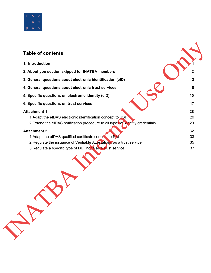

# **Table of contents 1. Introduction 1 2. About you section skipped for INATBA members 2 3. General questions about electronic identification (eID) 3 4. General questions about electronic trust services 8 5. Specific questions on electronic identity (eID) 10 6.** Specific questions on trust services **17 17 Attachment 1 28** 1.Adapt the eIDAS electronic identification concept to SSI 29 2. Extend the eIDAS notification procedure to all types of identity credentials 29 **Attachment 2 32** 1.Adapt the eIDAS qualified certificate concept to SSI 33 2. Regulate the issuance of Verifiable Attestations as a trust service 35 3. Regulate a specific type of DLT node as a trust service 37 Table of co[nt](#page-39-0)[e](#page-37-0)nts<br>
1. Introduction<br>
2. About you section skipped for INATBA members<br>
3. Gener[a](#page-31-1)[l](#page-3-0) questio[n](#page-4-0)s about electronic identification (eID)<br>
4. General questions about electronic tensity (eID)<br>
4. General questions abo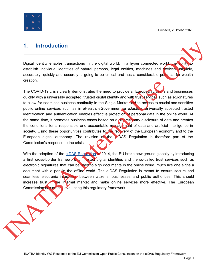

### <span id="page-3-0"></span>**1. Introduction**

Digital identity enables transactions in the digital world. In a hyper connected world, the ability to establish individual identities of natural persons, legal entities, machines and devices uniquely, accurately, quickly and securely is going to be critical and has a considerable potential for wealth creation.

The COVID-19 crisis clearly demonstrates the need to provide all European citizens and businesses quickly with a universally accepted, trusted digital identity and with trust services such as eSignatures to allow for seamless business continuity in the Single Market and to access to crucial and sensitive public online services such as in eHealth, eGovernment or eJustice. Universally accepted trusted identification and authentication enables effective protection of personal data in the online world. At the same time, it promotes business cases based on a discretionary disclosure of data and creates the conditions for a responsible and accountable management of data and artificial intelligence in society. Using these opportunities contributes to the recovery of the European economy and to the European digital autonomy. The revision of the eIDAS Regulation is therefore part of the Commission's response to the crisis. 1. Introduction<br>
Digital identity enables transactions in the digital ventd. In a hyper connected vertical website<br>
establish including distributes of natural persons, legal entities, machines and wince<br>
accuracy, quoday a

With the adoption of the eIDAS Regulation in 2014, the EU broke new ground globally by introducing a first cross-border framework for trusted digital identities and the so-called trust services such as electronic signatures that can be used to sign documents in the online world, much like one signs a document with a pen in the offline world. The eIDAS Regulation is meant to ensure secure and seamless electronic interaction between citizens, businesses and public authorities. This should increase trust in the internal market and make online services more effective. The European Commission is currently evaluating this regulatory framework.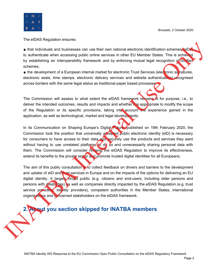

The eIDAS Regulation ensures:

• that individuals and businesses can use their own national electronic identification schemes (eID to authenticate when accessing public online services in other EU Member States. This is achieved by establishing an interoperability framework and by enforcing mutual legal recognition of notified schemes;

• the development of a European internal market for electronic Trust Services (electronic signatures, electronic seals, time stamps, electronic delivery services and website authentication) recognised across borders with the same legal status as traditional paper based processes

The Commission will assess to what extent the eIDAS framework remains fit for purpose, i.e., to deliver the intended outcomes, results and impacts and whether it is appropriate to modify the scope of the Regulation or its specific provisions, taking into account the experience gained in the application, as well as technological, market and legal developments.

In its Communication on Shaping Europe's Digital Future, published on 19th February 2020, the Commission took the position that universally accepted public electronic identity (eID) is necessary for consumers to have access to their data and securely use the products and services they want without having to use unrelated platforms to do so and unnecessarily sharing personal data with them. The Commission will consider revising the eIDAS Regulation to improve its effectiveness, extend its benefits to the private sector and promote trusted digital identities for all Europeans. In the individuals and businesses can use their own national electronic dentification schemes to the authentication when accessing public online services in their EU Member is Elast a rather of the complete online and th

The aim of this public consultation is to collect feedback on drivers and barriers to the development and uptake of eID and trust services in Europe and on the impacts of the options for delivering an EU digital identity. It targets broad public (e.g. citizens and end-users, including older persons and persons with disabilities) as well as companies directly impacted by the eIDAS Regulation (e.g. trust service providers, identity providers), competent authorities in the Member States, international organisations and concerned stakeholders on the eIDAS framework.

# <span id="page-4-0"></span>**2. About you section skipped for INATBA members**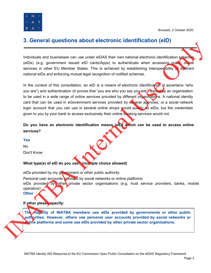

# <span id="page-5-0"></span>**3. General questions about electronic identification (eID)**

Individuals and businesses can use under eIDAS their own national electronic identification schemes (eIDs) (e.g. government issued eID cards/Apps) to authenticate when accessing public online services in other EU Member States. This is achieved by establishing interoperability of different national eIDs and enforcing mutual legal recognition of notified schemes.

In the context of this consultation, an eID is a means of electronic identification (it ascertains "who you are") and authentication (it proves that "you are who you say you are") issued by an organisation to be used in a wide range of online services provided by different organisations. A national identity card that can be used in eGovernment services provided by several agencies, or a social network login account that you can use in several online shops would qualify as eIDs, but the credentials given to you by your bank to access exclusively their online banking services would not. INCREASE A CONSIDERATION CONTROL TO THE CONSIDERATION CONTROL CONTROL CONTROL CONTROL IS CONTROL IS CONTROL IS CONTROL INCREASE ARE CONTROL CONTROL CONTROL CONTROL CONTROL CONTROL CONTROL CONTROL CONTROL CONTROL CONTROL C

#### **Do you have an electronic identification means (eID) which can be used to access online services?**

#### **Yes**

No Don't Know

#### **What type(s) of eID do you use? (multiple choice allowed)**

eIDs provided by my government or other public authority

Personal user accounts provided by social networks or online platforms

eIDs provided by other private sector organisations (e.g. trust service providers, banks, mobile operators)

**Other**

#### **If other please specify:**

**The majority of INATBA members use eIDs provided by governments or other public authorities. However, others use personal user accounts provided by social networks or online platforms and some use eIDs provided by other private sector organisations.**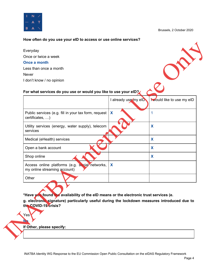

#### **How often do you use your eID to access or use online services?**

#### **For what services do you use or would you like to use your eID?**

| For what services do you use or would you like to use your elD?<br><b>Nould like to use my eID</b><br>I already use my eID<br>X<br>Public services (e.g. fill in your tax form, request<br>$\mathbf 1$<br>certificates, )<br>X<br>Utility services (energy, water supply), telecom<br>services<br>X<br>Medical (eHealth) services<br>X<br>Open a bank account<br>X<br>Shop online<br>Access online platforms (e.g. social networks,<br>X<br>my online streaming account)<br>Other | <b>Once a month</b>       |  |
|-----------------------------------------------------------------------------------------------------------------------------------------------------------------------------------------------------------------------------------------------------------------------------------------------------------------------------------------------------------------------------------------------------------------------------------------------------------------------------------|---------------------------|--|
|                                                                                                                                                                                                                                                                                                                                                                                                                                                                                   | Less than once a month    |  |
|                                                                                                                                                                                                                                                                                                                                                                                                                                                                                   | Never                     |  |
|                                                                                                                                                                                                                                                                                                                                                                                                                                                                                   | I don't know / no opinion |  |
|                                                                                                                                                                                                                                                                                                                                                                                                                                                                                   |                           |  |
|                                                                                                                                                                                                                                                                                                                                                                                                                                                                                   |                           |  |
|                                                                                                                                                                                                                                                                                                                                                                                                                                                                                   |                           |  |
|                                                                                                                                                                                                                                                                                                                                                                                                                                                                                   |                           |  |
|                                                                                                                                                                                                                                                                                                                                                                                                                                                                                   |                           |  |
|                                                                                                                                                                                                                                                                                                                                                                                                                                                                                   |                           |  |
|                                                                                                                                                                                                                                                                                                                                                                                                                                                                                   |                           |  |
|                                                                                                                                                                                                                                                                                                                                                                                                                                                                                   |                           |  |
|                                                                                                                                                                                                                                                                                                                                                                                                                                                                                   |                           |  |
|                                                                                                                                                                                                                                                                                                                                                                                                                                                                                   |                           |  |
|                                                                                                                                                                                                                                                                                                                                                                                                                                                                                   |                           |  |
|                                                                                                                                                                                                                                                                                                                                                                                                                                                                                   |                           |  |
|                                                                                                                                                                                                                                                                                                                                                                                                                                                                                   |                           |  |
|                                                                                                                                                                                                                                                                                                                                                                                                                                                                                   |                           |  |
|                                                                                                                                                                                                                                                                                                                                                                                                                                                                                   |                           |  |
|                                                                                                                                                                                                                                                                                                                                                                                                                                                                                   |                           |  |
|                                                                                                                                                                                                                                                                                                                                                                                                                                                                                   |                           |  |
|                                                                                                                                                                                                                                                                                                                                                                                                                                                                                   |                           |  |
| *Have you found the availability of the eID means or the electronic trust services (e.<br>g. electronic signature) particularly useful during the lockdown measures introduced due to                                                                                                                                                                                                                                                                                             |                           |  |
| the COVID-19 crisis?                                                                                                                                                                                                                                                                                                                                                                                                                                                              | Yes                       |  |
|                                                                                                                                                                                                                                                                                                                                                                                                                                                                                   |                           |  |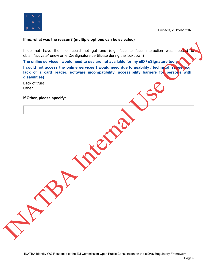

#### **If no, what was the reason? (multiple options can be selected)**

I do not have them or could not get one (e.g. face to face interaction was needed obtain/activate/renew an eID/eSignature certificate during the lockdown)

**The online services I would need to use are not available for my eID / eSignature tools I could not access the online services I would need due to usability / technical issues (e.g. lack of a card reader, software incompatibility, accessibility barriers for persons with disabilities)** I do not have them or could not get one (e.g. face to face interaction was need<br>otherwise the contine services it would need to use are not available for my etho i estigrature tools<br>The contine services it would need to us

Lack of trust **Other** 

**If Other, please specify:**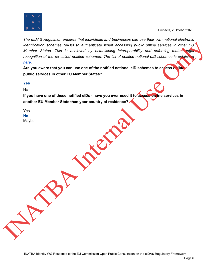

*The eIDAS Regulation ensures that individuals and businesses can use their own national electronic identification schemes (eIDs) to authenticate when accessing public online services in other EU Member States. This is achieved by establishing interoperability and enforcing mutual legal recognition of the so called notified schemes. The list of notified national eID schemes is published here.* Wember Shares Tris is a chien the theoretic who is consistent with a convention of the three states and the social control of the social control of the social control of the social control of the social control of the soci

**Are you aware that you can use one of the notified national eID schemes to access online public services in other EU Member States?**

#### **Yes**

No

**If you have one of these notified eIDs - have you ever used it to access online services in another EU Member State than your country of residence?**

Yes **No** Maybe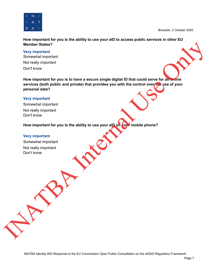

**How important for you is the ability to use your eID to access public services in other EU Member States?**

**Very important** Somewhat important Not really important Don't know

**How important for you is to have a secure single digital ID that could serve for all online services (both public and private) that provides you with the control over the use of your personal data?** Members Elastes?<br>
Service Important<br>
Service Important<br>
Service Important<br>
Not really important<br>
How important for you is to have a secure single digital ID that could serve for any<br>
service (both public and private) that

#### **Very important**

Somewhat important Not really important Don't know

**How important for you is the ability to use your eID on your mobile phone?**

#### **Very important**

Somewhat important Not really important Don't know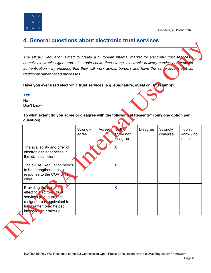

## <span id="page-10-0"></span>**4. General questions about electronic trust services**

#### **Yes**

| namely electronic signatures, electronic seals, time stamp, electronic delivery service and website<br>authentication - by ensuring that they will work across borders and have the same legal status as<br>traditional paper based processes. |                   |       |                                         | The eIDAS Regulation aimed to create a European internal market for electronic trust services |                      |                                 |
|------------------------------------------------------------------------------------------------------------------------------------------------------------------------------------------------------------------------------------------------|-------------------|-------|-----------------------------------------|-----------------------------------------------------------------------------------------------|----------------------|---------------------------------|
| Have you ever used electronic trust services (e.g. eSignature, eSeal or Timestamp)?                                                                                                                                                            |                   |       |                                         |                                                                                               |                      |                                 |
| <b>Yes</b>                                                                                                                                                                                                                                     |                   |       |                                         |                                                                                               |                      |                                 |
| <b>No</b>                                                                                                                                                                                                                                      |                   |       |                                         |                                                                                               |                      |                                 |
| Don't know                                                                                                                                                                                                                                     |                   |       |                                         |                                                                                               |                      |                                 |
| To what extent do you agree or disagree with the following statements? (only one option per<br>question)                                                                                                                                       |                   |       |                                         |                                                                                               |                      |                                 |
|                                                                                                                                                                                                                                                | Strongly<br>agree | Agree | <b>Neither</b><br>agree nor<br>disagree | <b>Disagree</b>                                                                               | Strongly<br>disagree | I don't<br>know / no<br>opinion |
| The availability and offer of<br>electronic trust services in<br>the EU is sufficient.                                                                                                                                                         |                   |       | X                                       |                                                                                               |                      |                                 |
| The eIDAS Regulation needs<br>to be strengthened as a<br>response to the COVID-19<br>crisis                                                                                                                                                    |                   |       | X                                       |                                                                                               |                      |                                 |
| Providing the same legal<br>effect to electronic trust<br>services (e.g. qualified<br>e-signature is equivalent to<br>handwritten one) helped<br>increase their take-up.                                                                       |                   |       | X                                       |                                                                                               |                      |                                 |
|                                                                                                                                                                                                                                                |                   |       |                                         |                                                                                               |                      |                                 |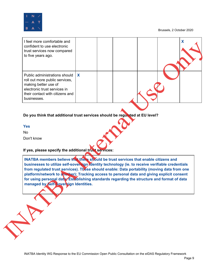

| X<br>Public administrations should<br>roll out more public services,<br>making better use of<br>electronic trust services in<br>their contact with citizens and<br>businesses.<br>Do you think that additional trust services should be regulated at EU level?<br><b>Yes</b><br><b>No</b><br>Don't know<br>If yes, please specify the additional trust services:<br>INATBA members believe that there should be trust services that enable citizens and<br>businesses to utilize self-sovereign identity technology (ie. to receive verifiable credentials<br>from regulated trust services). These should enable: Data portability (moving data from one<br>platform/network to another); Tracking access to personal data and giving explicit consent |  |  |  |
|---------------------------------------------------------------------------------------------------------------------------------------------------------------------------------------------------------------------------------------------------------------------------------------------------------------------------------------------------------------------------------------------------------------------------------------------------------------------------------------------------------------------------------------------------------------------------------------------------------------------------------------------------------------------------------------------------------------------------------------------------------|--|--|--|
|                                                                                                                                                                                                                                                                                                                                                                                                                                                                                                                                                                                                                                                                                                                                                         |  |  |  |
|                                                                                                                                                                                                                                                                                                                                                                                                                                                                                                                                                                                                                                                                                                                                                         |  |  |  |
|                                                                                                                                                                                                                                                                                                                                                                                                                                                                                                                                                                                                                                                                                                                                                         |  |  |  |

#### **Do you think that additional trust services should be regulated at EU level?**

#### **If yes, please specify the additional trust services:**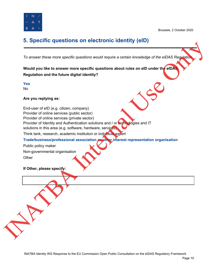

# <span id="page-12-0"></span>**5. Specific questions on electronic identity (eID)**

*To answer these more specific questions would require a certain knowledge of the eIDAS Regulation.*

**Would you like to answer more specific questions about rules on eID under the eIDAS Regulation and the future digital identity?**

**Yes**

No

#### **Are you replying as:**

End-user of eID (e.g. citizen, company) Provider of online services (public sector) Provider of online services (private sector) Provider of Identity and Authentication solutions and / or technologies and IT solutions in this area (e.g. software, hardware, services) Think tank, research, academic institution or individual expert **Trade/business/professional association or other interest representation organisation** To answer these more specific questions would require a certain innovating of the eIDAS Regulation and the future signation such depictes about rules on eID under the CIAS Regulation and the future digital identity?<br>
Next

Public policy maker Non-governmental organisation **Other** 

**If Other, please specify:**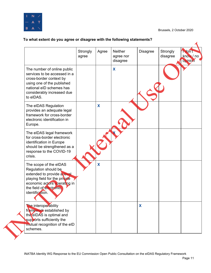

#### **To what extent do you agree or disagree with the following statements?**

|                                                                                                                                                                                              | Strongly<br>agree | Agree | <b>Neither</b><br>agree nor<br>disagree | <b>Disagree</b> | Strongly<br>disagree | 1 don't<br>know / no<br>opinion |
|----------------------------------------------------------------------------------------------------------------------------------------------------------------------------------------------|-------------------|-------|-----------------------------------------|-----------------|----------------------|---------------------------------|
| The number of online public<br>services to be accessed in a<br>cross-border context by<br>using one of the published<br>national eID schemes has<br>considerably increased due<br>to eIDAS.  |                   |       | X                                       |                 |                      |                                 |
| The eIDAS Regulation<br>provides an adequate legal<br>framework for cross-border<br>electronic identification in<br>Europe.                                                                  |                   | X     |                                         |                 |                      |                                 |
| The eIDAS legal framework<br>for cross-border electronic<br>identification in Europe<br>should be strengthened as a<br>response to the COVID-19<br>crisis.                                   |                   |       |                                         |                 |                      |                                 |
| The scope of the eIDAS<br>Regulation should be<br>extended to provide a level<br>playing field for the private<br>economic actors operating in<br>the field of electronic<br>identification. |                   | X     |                                         |                 |                      |                                 |
| The interoperability<br>framework established by<br>the eIDAS is optimal and<br>supports sufficiently the<br>mutual recognition of the eID<br>schemes.                                       |                   |       |                                         | X               |                      |                                 |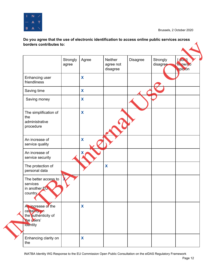

#### **Do you agree that the use of electronic identification to access online public services across borders contributes to:**

|                                                                                     | Strongly<br>agree | Agree       | Neither<br>agree not<br>disagree | <b>Disagree</b> | Strongly<br>disagree | <b>Ldon't</b><br>know/no<br>opinion |
|-------------------------------------------------------------------------------------|-------------------|-------------|----------------------------------|-----------------|----------------------|-------------------------------------|
| Enhancing user<br>friendliness                                                      |                   | X           |                                  |                 |                      |                                     |
| Saving time                                                                         |                   | X           |                                  |                 |                      |                                     |
| Saving money                                                                        |                   | X           |                                  |                 |                      |                                     |
| The simplification of<br>the<br>administrative<br>procedure                         |                   | X           |                                  |                 |                      |                                     |
| An increase of<br>service quality                                                   |                   | $\mathbf x$ |                                  |                 |                      |                                     |
| An increase of<br>service security                                                  |                   | х           |                                  |                 |                      |                                     |
| The protection of<br>personal data                                                  |                   |             | X                                |                 |                      |                                     |
| The better access to<br>services<br>in another EU<br>country                        |                   |             |                                  |                 |                      |                                     |
| An increase of the<br>certainty on<br>the authenticity of<br>the users'<br>identity |                   | X           |                                  |                 |                      |                                     |
| Enhancing clarity on<br>the                                                         |                   | X           |                                  |                 |                      |                                     |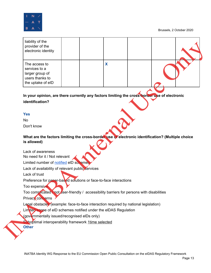

| liability of the<br>provider of the<br>electronic identity                                                       |   |  |
|------------------------------------------------------------------------------------------------------------------|---|--|
| The access to<br>services to a<br>larger group of<br>users thanks to<br>the uptake of eID                        | X |  |
| In your opinion, are there currently any factors limiting the cross-horder use of electronic                     |   |  |
| identification?                                                                                                  |   |  |
|                                                                                                                  |   |  |
| <b>Yes</b>                                                                                                       |   |  |
| <b>No</b>                                                                                                        |   |  |
| Don't know                                                                                                       |   |  |
|                                                                                                                  |   |  |
| What are the factors limiting the cross-border use of electronic identification? (Multiple choice<br>is allowed) |   |  |
| Lack of awareness                                                                                                |   |  |
| No need for it / Not relevant                                                                                    |   |  |
| Limited number of notified eID schemes                                                                           |   |  |
| Lack of availability of relevant public services                                                                 |   |  |
|                                                                                                                  |   |  |
| Lack of trust                                                                                                    |   |  |
| Preference for paper-based solutions or face-to-face interactions                                                |   |  |
| Too expensive                                                                                                    |   |  |
| Too complicated Anot user-friendly / accessibility barriers for persons with disabilities                        |   |  |
| Privacy concerns                                                                                                 |   |  |
| Legal obstacles (example: face-to-face interaction required by national legislation)                             |   |  |
| Limited scope of eID schemes notified under the eIDAS Regulation                                                 |   |  |
| (governmentally issued/recognised elDs only)                                                                     |   |  |

#### **Yes**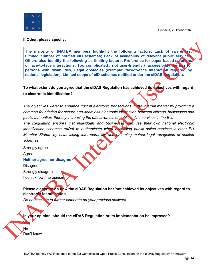

**If Other, please specify:**

**The majority of INATBA members highlight the following factors: Lack of awareness; Limited number of notified elD schemes; Lack of availability of relevant public services. Others also identify the following as limiting factors: Preference for paper-based solutions or face-to-face interactions, Too complicated / not user-friendly / accessibility barriers for persons with disabilities, Legal obstacles (example: face-to-face interaction required by national legislation), Limited scope of elD schemes notified under the elDAS Regulation.** The majority of INATBA members highlight the following factors: Lack of award<br>
Limited number of <u>notallina</u> die schemes: Lack of availability of relevant ability of relevant ability of relevant ability of relevant ability

**To what extent do you agree that the eIDAS Regulation has achieved its objectives with regard to electronic identification?**

*The objectives were: to enhance trust in electronic transactions in the internal market by providing a common foundation for secure and seamless electronic interaction between citizens, businesses and public authorities, thereby increasing the effectiveness of public online services in the EU.*

*The Regulation ensures that individuals and businesses can use their own national electronic identification schemes (eIDs) to authenticate when accessing public online services in other EU Member States, by establishing interoperability and enforcing mutual legal recognition of notified schemes.*

Strongly agree

Agree

**Neither agree nor disagree**

**Disagree** Strongly disagree I don't know / no opinior

**Please elaborate on how the eIDAS Regulation has/not achieved its objectives with regard to electronic identification.**

*Do not hesitate to further elaborate on your previous answers.*

**In your opinion, should the elDAS Regulation or its implementation be improved?**

No Don't know

**Yes**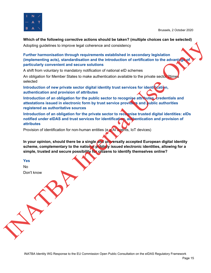

#### **Which of the following corrective actions should be taken? (multiple choices can be selected)**

Adopting guidelines to improve legal coherence and consistency

#### **Further harmonisation through requirements established in secondary legislation (implementing acts), standardisation and the introduction of certification to the advantage of particularly convenient and secure solutions**

A shift from voluntary to mandatory notification of national eID schemes

An obligation for Member States to make authentication available to the private sector 2time selected

**Introduction of new private sector digital identity trust services for identification, authentication and provision of attributes**

**Introduction of an obligation for the public sector to recognise attributes, credentials and attestations issued in electronic form by trust service providers and public authorities registered as authoritative sources**

**Introduction of an obligation for the private sector to recognise trusted digital identities: eIDs notified under eIDAS and trust services for identification, authentication and provision of attributes** Adopting guidelines to improve legal coherence and consistency<br>Further harmonisation in rough requirements established in secondary legislation<br>(implementing acts), standardistion and the introduction of contribution to th

Provision of identification for non-human entities (e.g AI agents, IoT devices)

**In your opinion, should there be a single and universally accepted European digital identity scheme, complementary to the national publicly issued electronic identities, allowing for a simple, trusted and secure possibility for citizens to identify themselves online?**

**Yes**

No Don't know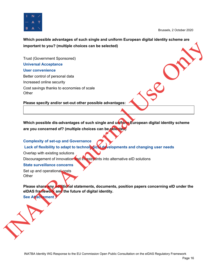

**Which possible advantages of such single and uniform European digital identity scheme are important to you? (multiple choices can be selected)**

Trust (Government Sponsored) **Universal Acceptance User convenience** Better control of personal data Increased online security Cost savings thanks to economies of scale **Other** important to you? (multiple choices can be selected)<br>
Trust (Government Sponsored)<br>
Universal Acceptance<br>
User convenience<br>
User convenience<br>
User convenience<br>
Discoversions stands to economies of scale<br>
Other<br>
Please epec

**Please specify and/or set-out other possible advantages:**

**Which possible dis-advantages of such single and uniform European digital identity scheme are you concerned of? (multiple choices can be selected)**

#### **Complexity of set-up and Governance**

#### **Lack of flexibility to adapt to technological developments and changing user needs**

Overlap with existing solutions

Discouragement of innovation and investments into alternative eID solutions

#### **State surveillance concerns**

Set up and operational costs **Other** 

**Please share any additional statements, documents, position papers concerning eID under the eIDAS framework and the future of digital identity. See Attachement 1**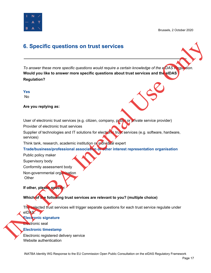

# <span id="page-19-0"></span>**6. Specific questions on trust services**

*To answer these more specific questions would require a certain knowledge of the eIDAS Regulation.* **Would you like to answer more specific questions about trust services and the eIDAS Regulation?** 6. Specific questions on frust services<br>
To answer these more specific questions would require a certain too weage of the efforts.<br>
Would you like to answer more specific questions about trust services and the efforts.<br>
N

**Yes** No

**Are you replying as:**

User of electronic trust services (e.g. citizen, company, public or private service provider)

Provider of electronic trust services

Supplier of technologies and IT solutions for electronic trust services (e.g. software, hardware, services)

Think tank, research, academic institution or individual expert

**Trade/business/professional association or other interest representation organisation**

Public policy maker

Supervisory body

Conformity assessment body

Non-governmental organisation

**Other** 

**If other, please specif** 

**Which of the following trust services are relevant to you? (multiple choice)**

The selected trust services will trigger separate questions for each trust service regulate under eIDAS.

#### **Electronic signature**

Electronic seal

#### **Electronic timestamp**

Electronic registered delivery service Website authentication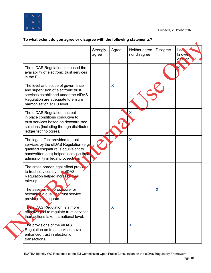

#### **To what extent do you agree or disagree with the following statements?**

|                                                                                                                                                                                                       | Strongly<br>agree | Agree | Neither agree<br>nor disagree | <b>Disagree</b> | I don't<br>know/no<br><b>opinion</b> |
|-------------------------------------------------------------------------------------------------------------------------------------------------------------------------------------------------------|-------------------|-------|-------------------------------|-----------------|--------------------------------------|
| The eIDAS Regulation increased the<br>availability of electronic trust services<br>in the EU.                                                                                                         |                   |       |                               |                 |                                      |
| The level and scope of governance<br>and supervision of electronic trust<br>services established under the eIDAS<br>Regulation are adequate to ensure<br>harmonisation at EU level.                   |                   | X     |                               |                 |                                      |
| The eIDAS Regulation has put<br>in place conditions conducive to<br>trust services based on decentralised<br>solutions (including through distributed<br>ledger technologies).                        |                   |       | X                             |                 |                                      |
| The legal effect provided to trust<br>services by the eIDAS Regulation (e.g.<br>qualified esignature is equivalent to<br>handwritten one) helped increase their<br>admissibility in legal proceedings |                   |       | X                             |                 |                                      |
| The cross-border legal effect provided<br>to trust services by the elDAS<br>Regulation helped increase their<br>take-up.                                                                              |                   |       | X                             |                 |                                      |
| The assessment procedure for<br>becoming a qualified trust service<br>provider is adequate.                                                                                                           |                   |       |                               | X               |                                      |
| The eIDAS Regulation is a more<br>effective tool to regulate trust services<br>than actions taken at national level.                                                                                  |                   | X     |                               |                 |                                      |
| The provisions of the eIDAS<br>Regulation on trust services have<br>enhanced trust in electronic<br>transactions.                                                                                     |                   |       | X                             |                 |                                      |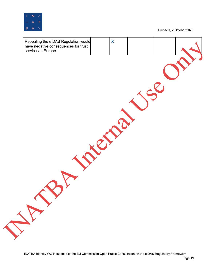

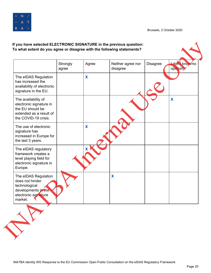

#### **If you have selected ELECTRONIC SIGNATURE in the previous question: To what extent do you agree or disagree with the following statements? Strongly** agree Agree | Neither agree nor disagree Disagree **I don't know**/no opinion The eIDAS Regulation has increased the availability of electronic signature in the EU. **X** The availability of electronic signature in the EU should be extended as a result of the COVID-19 crisis. **X** The use of electronic signature has increased in Europe for the last 3 years. **X** The eIDAS regulatory framework creates a level playing field for electronic signature in Europe. **X** The eIDAS Regulation does not hinder technological developments in the electronic signature market. **X** If you have elected electronic signature in the previous question.<br>
To what extent do you agree of disagree with the following statements?<br>
The ello.K Regulation<br>
The ello.K Regulation<br>
Nation of disagree the bistops of di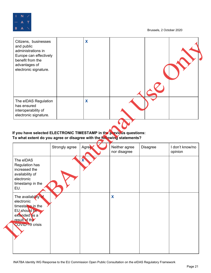



#### **If you have selected ELECTRONIC TIMESTAMP in the previous questions: To what extent do you agree or disagree with the following statements?**

| and public<br>administrations in<br>Europe can effectively<br>benefit from the<br>advantages of<br>electronic signature.                                                                                 |                |       |                               |                 |                            |
|----------------------------------------------------------------------------------------------------------------------------------------------------------------------------------------------------------|----------------|-------|-------------------------------|-----------------|----------------------------|
| The eIDAS Regulation<br>has ensured<br>interoperability of<br>electronic signature.                                                                                                                      |                | X     |                               |                 |                            |
| If you have selected ELECTRONIC TIMESTAMP in the previous questions:<br>To what extent do you agree or disagree with the following statements?                                                           | Strongly agree | Agree | Neither agree<br>nor disagree | <b>Disagree</b> | I don't know/no<br>opinion |
| The eIDAS<br>Regulation has<br>increased the                                                                                                                                                             |                |       |                               |                 |                            |
|                                                                                                                                                                                                          |                |       |                               |                 |                            |
| availability of<br>electronic<br>timestamp in the<br>EU.<br>The availability of<br>electronic<br>timestain in the<br>EU <sub>should</sub> be<br>extended as a<br>result of the<br><b>COVID-19 crisis</b> |                |       | $\boldsymbol{\mathsf{X}}$     |                 |                            |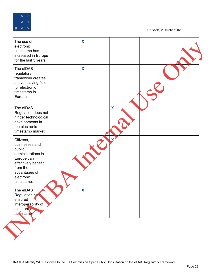

Brussels, 2 October 2020

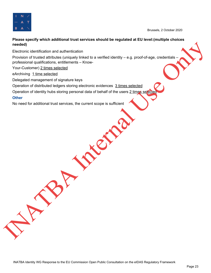

#### **Please specify which additional trust services should be regulated at EU level:(multiple choices needed)**

Electronic identification and authentication

Provision of trusted attributes (uniquely linked to a verified identity – e.g. proof-of-age, credentials professional qualifications, entitlements – Knowmeeting<br>
Recharge the influenced at the basic of the control of the start of the control of the control of the control of the control of the control of the control of the control of the control of the control of the contro

Your-Customer) 2 times selected

eArchiving 1 time selected

Delegated management of signature keys

Operation of distributed ledgers storing electronic evidences 3 times selected

Operation of identity hubs storing personal data of behalf of the users 2 times select

#### **Other**

No need for additional trust services, the current scope is sufficient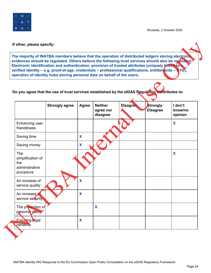

#### **Do you agree that the use of trust services established by the eIDAS Regulation contributes to:**

|                                    | The majority of INATBA members believe that the operation of distributed ledgers storing electronic<br>evidences should be regulated. Others believe the following trust services should also be regulated: |       |                                         |                 |                             |                    |
|------------------------------------|-------------------------------------------------------------------------------------------------------------------------------------------------------------------------------------------------------------|-------|-----------------------------------------|-----------------|-----------------------------|--------------------|
|                                    | Electronic identification and authentication, provision of trusted attributes (uniquely linked to                                                                                                           |       |                                         |                 |                             |                    |
|                                    | verified identity – e.g. proof-of-age, credentials – professional qualifications, entitlen ents – $\angle$ YC),<br>operation of identity hubs storing personal data on behalf of the users.                 |       |                                         |                 |                             |                    |
|                                    |                                                                                                                                                                                                             |       |                                         |                 |                             |                    |
|                                    |                                                                                                                                                                                                             |       |                                         |                 |                             |                    |
|                                    | Do you agree that the use of trust services established by the eIDAS Regulation contributes to:                                                                                                             |       |                                         |                 |                             |                    |
|                                    |                                                                                                                                                                                                             |       |                                         |                 |                             | I don't            |
|                                    | <b>Strongly agree</b>                                                                                                                                                                                       | Agree | <b>Neither</b><br>agree nor<br>disagree | <b>Disagree</b> | Strongly<br><b>Disagree</b> | know/no<br>opinion |
| Enhancing user<br>friendliness     |                                                                                                                                                                                                             |       |                                         |                 |                             | X                  |
| Saving time                        |                                                                                                                                                                                                             | X     |                                         |                 |                             |                    |
| Saving money                       |                                                                                                                                                                                                             | X     |                                         |                 |                             |                    |
| The                                |                                                                                                                                                                                                             |       |                                         |                 |                             | X                  |
| simplification of<br>the           |                                                                                                                                                                                                             |       |                                         |                 |                             |                    |
| administrative                     |                                                                                                                                                                                                             |       |                                         |                 |                             |                    |
| procedure                          |                                                                                                                                                                                                             |       |                                         |                 |                             |                    |
| An increase of<br>service quality  |                                                                                                                                                                                                             | X     |                                         |                 |                             |                    |
| An increase of<br>service security |                                                                                                                                                                                                             | X     |                                         |                 |                             |                    |
| The protection of                  |                                                                                                                                                                                                             |       | X                                       |                 |                             |                    |
| personal data                      |                                                                                                                                                                                                             |       |                                         |                 |                             |                    |
| <b>Ensuring legal</b>              |                                                                                                                                                                                                             | X     |                                         |                 |                             |                    |
| certainty                          |                                                                                                                                                                                                             |       |                                         |                 |                             |                    |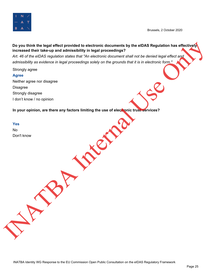



Art. 46 of the eIDAS regulation states that "An electronic document shall not be denied legal effect and *admissibility as evidence in legal proceedings solely on the grounds that it is in electronic form."*

Strongly agree

#### **Agree**

Neither agree nor disagree Disagree Strongly disagree I don't know / no opinion

**In your opinion, are there any factors limiting the use of electronic trust services?**

**Yes** No Don't know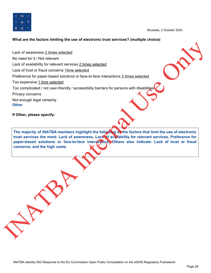

#### **What are the factors limiting the use of electronic trust services? (multiple choice)**

Lack of awareness 2 times selected No need for it / Not relevant Lack of availability for relevant services 2 times selected Lack of trust or fraud concerns 1time selected Preference for paper-based solutions or face-to-face interactions 2 times selected Too expensive 1 time selected Too complicated / not user-friendly / accessibility barriers for persons with disabilities Privacy concerns Not enough legal certainty **Other** Lect of awareness 2 times selected<br>
No need for it Not relevant<br>
Lect of walkonling for relevant services 2 times selected<br>
Profector of yoper chaoen is <u>time selected</u><br>
Profector of yoper chaoen solutions of the 4-0 -face

**If Other, please specify:**

**The majority of INATBA members highlight the following as the factors that limit the use of electronic trust services the most: Lack of awareness, Lack of availability for relevant services, Preference for paper-based solutions or face-to-face interactions. Others also indicate: Lack of trust or fraud concerns, and the high costs.**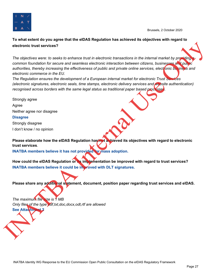

**To what extent do you agree that the eIDAS Regulation has achieved its objectives with regard to electronic trust services?**

The objectives were: to seeks to enhance trust in electronic transactions in the internal market by providing *common foundation for secure and seamless electronic interaction between citizens, businesses and public authorities, thereby increasing the effectiveness of public and private online services, electronic business and electronic commerce in the EU.* dectronic trust services?<br>
The objectives were to seeks to enhance frust in electronic transactions in the internal market by promption<br>
continue to head to the second the semi-mass of politic and private control methods.

*The Regulation ensures the development of a European internal market for electronic Trust Services (electronic signatures, electronic seals, time stamps, electronic delivery services and website authentication) recognised across borders with the same legal status as traditional paper based processes.*

Strongly agree Agree Neither agree nor disagree **Disagree** Strongly disagree I don't know / no opinion

**Please elaborate how the eIDAS Regulation has/not achieved its objectives with regard to electronic trust services**.

**INATBA members believe it has not provided for mass adoption.**

**How could the eIDAS Regulation or its implementation be improved with regard to trust services? INATBA members believe it could be improved with DLT signatures.**

**Please share any additional statement, document, position paper regarding trust services and elDAS.**

*The maximum file size is 1 MB Only files of the type pdf,txt,doc,docx,odt,rtf are allowed* **See Attachment 2**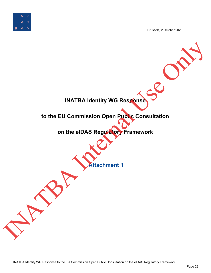

<span id="page-30-0"></span>**INATBA Identity WG Response to the EU Commission Open Public Consultation on the eIDAS Regulatory Framework Attachment 1** INATBA Identity WG Response Consultation<br>to the EU Commission Open Public Consultation<br>on the eIDAS Regularly Framework<br>Attachment 1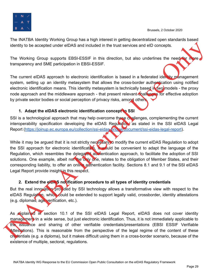

The INATBA Identity Working Group has a high interest in getting decentralized open standards based identity to be accepted under eIDAS and included in the trust services and eID concepts.

The Working Group supports EBSI-ESSIF in this direction, but also underlines the need for more transparency and SME participation in EBSI-ESSIF.

The current eIDAS approach to electronic identification is based in a federated identity management system, setting up an identity metasystem that allows the cross-border authentication using notified electronic identification means. This identity metasystem is technically based in two models - the proxy node approach and the middleware approach - that present relevant challenges for effective adoption by private sector bodies or social perception of privacy risks, among others.

#### <span id="page-31-0"></span>**1. Adapt the eIDAS electronic identification concept to SSI**

SSI is a technological approach that may help overcome these challenges, complementing the current interoperability specification developing the eIDAS Regulation, as stated in the SSI eIDAS Legal Report (https://joinup.ec.europa.eu/collection/ssi-eidas-bridge/document/ssi-eidas-legal-report).

While it may be argued that it is not strictly necessary to modify the current eIDAS Regulation to adopt the SSI approach for electronic identification, it would be convenient to adapt the language of the Regulation, which resembles the delegated authentication approach, to facilitate the adoption of SSI solutions. One example, albeit not the only one, relates to the obligation of Member States, and their corresponding liability, to offer an online authentication facility. Sections 8.1 and 9.1 of the SSI eIDAS Legal Report provide insight in this respect. identity to be accepted under eIDAS and included in the trust services and eID concepts.<br>
The Working Group supports EBSI-ESSIF. In this direction, but also underlines the need that paraparenev and SME participation in EBS

#### <span id="page-31-1"></span>**2. Extend the eIDAS notification procedure to all types of identity credentials**

But the real innovation provided by SSI technology allows a transformative view with respect to the eIDAS Regulation, which could be extended to support legally valid, crossborder, identity attestations (e.g. diplomas, age verification, etc.).

As **explained in section 10.1 of the SSI eIDAS Legal Report, eIDAS does not cover identity** management in a wide sense, but just electronic identification. Thus, it is not immediately applicable to the issuance and sharing of other verifiable credentials/presentations (EBSI ESSIF Verifiable Attestations). This is reasonable from the perspective of the legal regime of the content of these credentials (e.g. a diploma), but it makes difficult using them in a cross-border scenario, because of the existence of multiple, sectoral, regulations.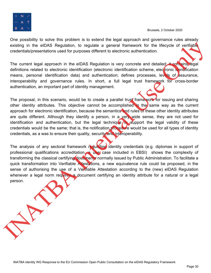

One possibility to solve this problem is to extend the legal approach and governance rules already existing in the eIDAS Regulation, to regulate a general framework for the lifecycle of verifiable credentials/presentations used for purposes different to electronic authentication.

The current legal approach in the eIDAS Regulation is very concrete and detailed: it contains legal definitions related to electronic identification (electronic identification scheme, electronic identification means, personal identification data) and authentication; defines processes, levels of assurance, interoperability and governance rules. In short, a full legal trust framework for cross-border authentication, an important part of identity management.

The proposal, in this scenario, would be to create a parallel trust frame work for issuing and sharing other identity attributes. This objective cannot be accomplished in the same way as the current approach for electronic identification, because the semantics and rules of these other identity attributes are quite different. Although they identify a person, in a very wide sense, they are not used for identification and authentication, but the legal technique to support the legal validity of these credentials would be the same; that is, the notification procedure would be used for all types of identity credentials, as a was to ensure their quality, security and interoperability.

The analysis of any sectoral framework requisiting identity credentials (e.g. diplomas in support of professional qualifications accreditation, a use case included in EBSI) shows the complexity of transforming the classical certifying documents normally issued by Public Administration. To facilitate a quick transformation into Verifiable Attestations, a new equivalence rule could be proposed, in the sense of authorising the use of a Verifiable Attestation according to the (new) eIDAS Regulation whenever a legal norm requires a document certifying an identity attribute for a natural or a legal person. existing in the eIDAS. Regulation, to regulate a general framework for the lifecycle of vertifiable<br>creducision results are extended to electronic distribution is very concrete and distribution of<br>the current legal approac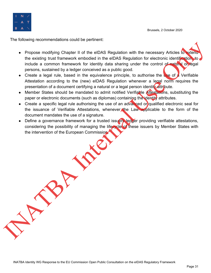

The following recommendations could be pertinent:

- Propose modifying Chapter II of the eIDAS Regulation with the necessary Articles to extend the existing trust framework embodied in the eIDAS Regulation for electronic identification, to include a common framework for identity data sharing under the control of natural or legal persons, sustained by a ledger conceived as a public good. Propose modifying Chapter II of the BIDAS Regulation with the necessary Articles Chapter the existing total transmission in the eIDAS Regulation for electronic identification in the model of the control of the control of t
	- Create a legal rule, based in the equivalence principle, to authorise the use of a Verifiable Attestation according to the (new) eIDAS Regulation whenever a legal norm requires the presentation of a document certifying a natural or a legal person identity attribute.
	- Member States should be mandated to admit notified Verifiable Attestations, substituting the paper or electronic documents (such as diplomas) containing the identity attributes.
	- Create a specific legal rule authorising the use of an advanced or qualified electronic seal for the issuance of Verifiable Attestations, whenever the Law applicable to the form of the document mandates the use of a signature.
	- Define a governance framework for a trusted issuers ledger providing verifiable attestations, considering the possibility of managing the lifecycle of these issuers by Member States with the intervention of the European Commission.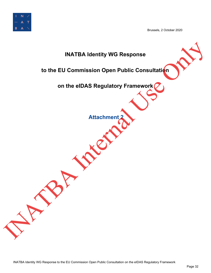

<span id="page-34-0"></span>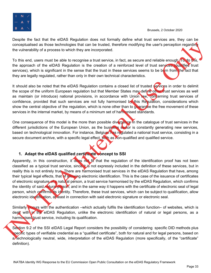

Despite the fact that the eIDAS Regulation does not formally define what trust services are, they can be conceptualised as those technologies that can be trusted, therefore modifying the user's perception regarding the vulnerability of a process to which they are incorporated.

To this end, users must be able to recognise a trust service, in fact, as secure and reliable enough. To do this, the approach of the eIDAS Regulation is the creation of a reinforced level of trust services (qualified trust services), which is significant in the sense that the trust in these services seems to be born from the fact that they are legally regulated, rather than only in their own technical characteristics.

It should also be noted that the eIDAS Regulation contains a closed list of trusted services in order to delimit the scope of the uniform European regulation but that Member States may define other trust services as well as maintain (or introduce) national provisions, in accordance with Union law, concerning trust services of confidence, provided that such services are not fully harmonised by this Requisition, considerations which show the central objective of the regulation, which is none other than to guarantee the free movement of these services in the internal market, by means of a minimum set of harmonised standards.

One consequence of this model is the more than possible divergence in the catalogue of trust services in the different jurisdictions of the European Union, as the business sector is constantly generating new services, based on technological innovation. For instance, Belgium has regulated a national trust service, consisting in a secure document archive, with a specific legal effect, both as non-qualified and qualified service.

#### <span id="page-35-0"></span>**1. Adapt the eIDAS qualified certificate concept to SSI**

Apparently, in this construction, it does not fit that the regulation of the identification proof has not been classified as a typical trust service, since it is not expressly included in the definition of these services, but in reality this is not entirely true. There are harmonised trust services in the eIDAS Regulation that have, among their typical legal effects, that of allowing electronic identification. This is the case of the issuance of certificates of electronic signature of a natural person, a trust service harmonised by the eIDAS Regulation, which confirms the identity of said natural person; and in the same way it happens with the certificate of electronic seal of legal person, which confirms its identity. Therefore, these trust services, which can be subject to qualification, allow electronic identification, at least in connection with said electronic signature or electronic seal. conceptuality at a most busine that can be tusted therefore modifying the user's perception regarding<br>
To this and, users must be able to mecopine a trust service, in fact, as secure and miliable encoupled that<br>
the appro

Similarly **occurs** with the authentication –which actually fulfils the identification function– of websites, which is dealt with in the eIDAS Regulation, unlike the electronic identification of natural or legal persons, as a harmonised trust service, including its qualification.

Section 9.2 of the SSI eIDAS Legal Report considers the possibility of considering specific DID methods plus specific types of verifiable credential as a "qualified certificate", both for natural and for legal persons, based on a. technologically neutral, wide, interpretation of the eIDAS Regulation (more specifically, of the "certificate" definition).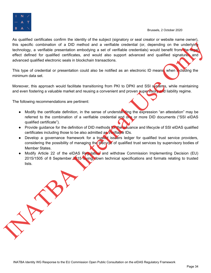

As qualified certificates confirm the identity of the subject (signatory or seal creator or website name owner), this specific combination of a DID method and a verifiable credential (or, depending on the underlying technology, a verifiable presentation embodying a set of verifiable credentials) would benefit from the legal effect defined for qualified certificates, and would also support advanced and qualified signatures and advanced qualified electronic seals in blockchain transactions. this specific contribution of a DD method and a verified excellential (gr. depending on the underlying a set of verified the redeviated (gr. depending on the underlyind of the contribution of the definition of the contribu

This type of credential or presentation could also be notified as an electronic ID means, when including the minimum data set.

Moreover, this approach would facilitate transitioning from PKI to DPKI and SSI systems, while maintaining and even fostering a valuable market and reusing a convenient and proven supervisory and liability regime.

The following recommendations are pertinent:

- Modify the certificate definition, in the sense of understanding the expression "an attestation" may be referred to the combination of a verifiable credential and one or more DID documents ("SSI eIDAS qualified certificate").
- Provide guidance for the definition of DID methods for the ussuance and lifecycle of SSI eIDAS qualified certificates including those to be also admitted as Verifiable IDs.
- Develop a governance framework for a trusted issuers ledger for qualified trust service providers, considering the possibility of managing the lifecycle of qualified trust services by supervisory bodies of Member States.
- Modify Article 22 of the eIDAS Regulation and withdraw Commission Implementing Decision (EU) 2015/1505 of 8 September 2015 laying down technical specifications and formats relating to trusted lists.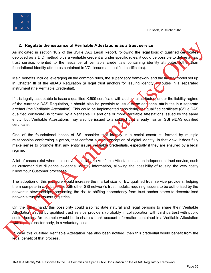

#### <span id="page-37-0"></span>**2. Regulate the issuance of Verifiable Attestations as a trust service**

As indicated in section 10.2 of the SSI eIDAS Legal Report, following the legal logic of qualified certificates deployed as a DID method plus a verifiable credential under specific rules, it could be possible to define a new trust service, oriented to the issuance of verifiable credentials containing identity attributes (other than foundational identity attributes contained in VCs issued as qualified certificates).

Main benefits include leveraging all the common rules, the supervisory framework and the liability model set up in Chapter III of the eIDAS Regulation (a legal trust anchor) for issuing identity attributes in a separated instrument (the Verifiable Credential).

If it is legally acceptable to issue a qualified X.509 certificate with additional attributes, under the liability regime of the current eIDAS Regulation, it should also be possible to issue these additional attributes in a separate artefact (the Verifiable Attestation). This could be implemented considering the qualified certificate (SSI eIDAS qualified certificate) is formed by a Verifiable ID and one or more Verifiable Attestations issued by the same entity, but Verifiable Attestations may also be issued to a subject that already has an SSI eIDAS qualified certificate. 2. Regulate the Islamited of the filadella Constantion as a three stock of equalities in the same of the same of the same in the same of the same in the same of the same of the same of the same of the same in the same of t

One of the foundational bases of SSI consider that identity is a social construct, formed by multiple relationships conforming a graph, that conform a wide conception of digital identity. In that view, it does fully make sense to promote that any entity issues verifiable credentials, especially if they are ensured by a legal regime.

A lot of cases exist where it is convenient to issue Verifiable Attestations as an independent trust service, such as customer due diligence evidential identity information, allowing the possibility of reusing the very costly Know Your Customer processes.

The adoption of this measure would increase the market size for EU qualified trust service providers, helping them compete in a global scale with other SSI network's trust models, requiring issuers to be authorised by the network's stewardships, preventing the risk to shifting dependency from trust anchor stores to decentralised networks trusted issuers registries.

On the other hand, this possibility could also facilitate natural and legal persons to share their Verifiable Attestation issued by qualified trust service providers (probably in collaboration with third parties) with public sector bodies. An example would be to share a bank account information contained in a Verifiable Attestation *i*th a public sector body, in a voluntary basis.

n case this qualified Verifiable Attestation has also been notified, then this credential would benefit from the legal benefit of that process.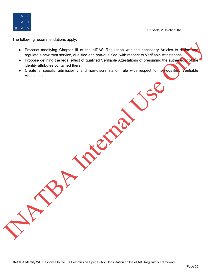

The following recommendations apply:

- Propose modifying Chapter III of the eIDAS Regulation with the necessary Articles to define regulate a new trust service, qualified and non-qualified, with respect to Verifiable Attestations. Propose modifying Chapter III of the eIDAS Regulation with the necessary Articles to depressed<br>ingulate a mew trust service, qualified or drom-qualified virth respect to Verified the Miterial Atlantations<br>Internal Use of t
	- Propose defining the legal effect of qualified Verifiable Attestations of presuming the authenticity of the identity attributes contained therein.
	- Create a specific admissibility and non-discrimination rule with respect to non-qualified Verifiable Attestations.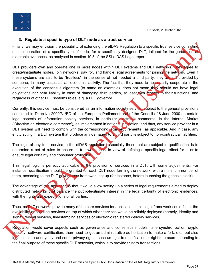



#### <span id="page-39-0"></span>**3. Regulate a specific type of DLT node as a trust service**

Finally, we may envision the possibility of extending the eIDAS Regulation to a specific trust service consisting on the operation of a specific type of node, for a specifically designed DLT, tailored for the generation of electronic evidences, as analysed in section 10.5 of the SSI eIDAS Legal report.

DLT providers own and operate one or more nodes within DLT systems and DLT networks. They agree to create/instantiate nodes, join networks, pay for, and handle legal agreements for joining the network. Even if these systems are said to be "trustless", in the sense of not needed a third party, they are still provided by someone, in many cases as an economic activity. The fact that they need to necessarily cooperate in the execution of the consensus algorithm (to name an example), does not mean they should not have legal obligations nor bear liability in case of damaging third parties, at least with respect to their functions, and regardless of other DLT systems roles, e.g. a DLT governor. Finally, we may emission be possiblely of extending the BIAS Regulation to a specific true series consisted to the operation of the control of the control of the control of the control of the control of the control of the

Currently, this service must be considered as an information society service, subject to the general provisions contained in Directive 2000/31/EC of the European Parliament and of the Council of 8 June 2000 on certain legal aspects of information society services, in particular electronic commerce, in the Internal Market ('Directive on electronic commerce'), as implemented in national legislation, and thus, any service provider in a DLT system will need to comply with the corresponding legal requirements, as applicable. And in case, any entity acting in a DLT system that produce any damaged to a third party is subject to non-contractual liabilities.

The logic of any trust service in the eIDAS regulation, especially those that are subject to qualification, is to determine a set of rules to ensure its trustworthiness, in view of defining a specific legal effect for it, or to ensure legal certainty and consumer protection.

This legal logic is perfectly applicable to the provision of services in a DLT, with some adjustments. For instance, qualification should be granted for each DLT node forming the network, with a minimum number of them, according to the DLT governance framework set up (for instance, before launching the genesis block).

The advantage of this approach is that it would allow setting up a series of legal requirements aimed to deploy distributed networks that balance the public/legitimate interest in the legal certainty of electronic evidences, with the rights and expectations of all parties.

Thus, as DLT networks provide many of the core services for applications, this legal framework could foster the availability of baseline services on top of which other services would be reliably deployed (namely, identity and signature/seal services, timestamping services or electronic registered delivery services).

Regulation would cover aspects such as governance and consensus models, time synchronization, crypto security, software certification, then need to get an administrative authorisation to make a fork, etc., but also legal limits to anonymity and some privacy rights, such as right to modification or right to erasure, attending to the final purpose of these specific DLT networks, which is to provide trust to transactions.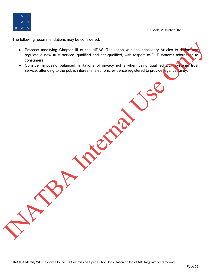

The following recommendations may be considered:

- Propose modifying Chapter III of the eIDAS Regulation with the necessary Articles to define regulate a new trust service, qualified and non-qualified, with respect to DLT systems addressed to consumers. Propose modifying Chapter III of the eIDAS Regulator with the necessary Articles to determine the mew trust service, qualified and non-qualified with respect to DLT systems actions to possible the consider imposing balance
	- Consider imposing balanced limitations of privacy rights when using qualified DLT systems trust service, attending to the public interest in electronic evidence registered to provide legal certainty.